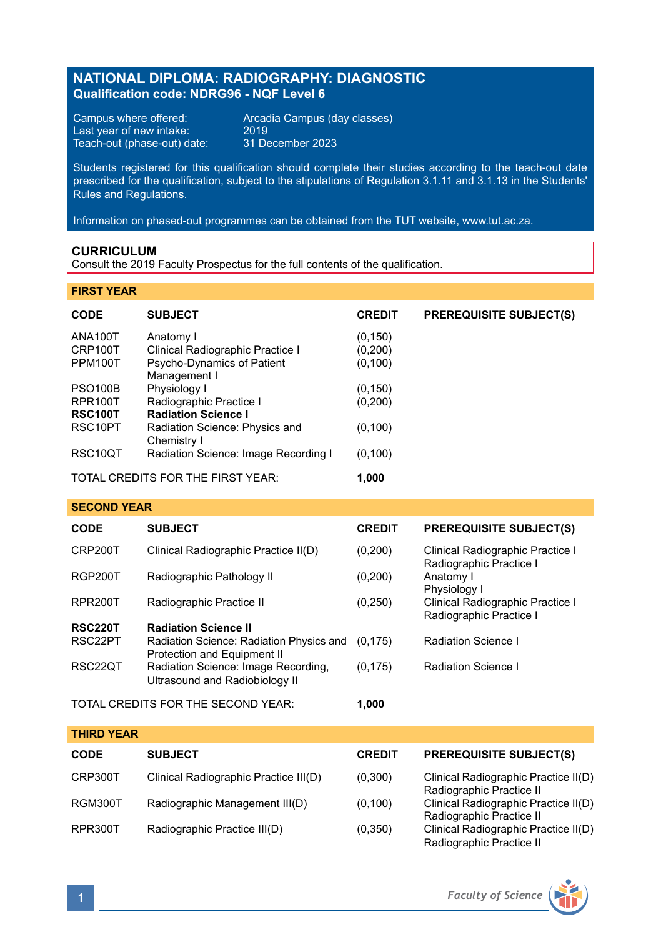# **NATIONAL DIPLOMA: RADIOGRAPHY: DIAGNOSTIC Qualification code: NDRG96 - NQF Level 6**

Campus where offered: <br>
Last year of new intake: 2019<br>
Teach-out (phase-out) date: 31 December 2023 Teach-out (phase-out) date:

Arcadia Campus (day classes)<br>2019

Students registered for this qualification should complete their studies according to the teach-out date prescribed for the qualification, subject to the stipulations of Regulation 3.1.11 and 3.1.13 in the Students' Rules and Regulations.

Information on phased-out programmes can be obtained from the TUT website, www.tut.ac.za.

## **CURRICULUM**

Consult the 2019 Faculty Prospectus for the full contents of the qualification.

### **FIRST YEAR**

| <b>CODE</b>          | <b>SUBJECT</b>                                | <b>CREDIT</b> | <b>PREREQUISITE SUBJECT(S)</b> |
|----------------------|-----------------------------------------------|---------------|--------------------------------|
| ANA100T              | Anatomy I                                     | (0, 150)      |                                |
| CRP100T              | Clinical Radiographic Practice I              | (0, 200)      |                                |
| PPM100T              | Psycho-Dynamics of Patient<br>Management I    | (0, 100)      |                                |
| <b>PSO100B</b>       | Physiology I                                  | (0, 150)      |                                |
| <b>RPR100T</b>       | Radiographic Practice I                       | (0,200)       |                                |
| <b>RSC100T</b>       | <b>Radiation Science I</b>                    |               |                                |
| RSC10PT              | Radiation Science: Physics and<br>Chemistry I | (0, 100)      |                                |
| RSC <sub>10</sub> QT | Radiation Science: Image Recording I          | (0,100)       |                                |
|                      | TOTAL CREDITS FOR THE FIRST YEAR:             |               |                                |

## **SECOND YEAR**

| <b>CODE</b>                        | <b>SUBJECT</b>                                                          | <b>CREDIT</b> | <b>PREREQUISITE SUBJECT(S)</b>                              |
|------------------------------------|-------------------------------------------------------------------------|---------------|-------------------------------------------------------------|
| CRP200T                            | Clinical Radiographic Practice II(D)                                    | (0,200)       | Clinical Radiographic Practice I<br>Radiographic Practice I |
| <b>RGP200T</b>                     | Radiographic Pathology II                                               | (0, 200)      | Anatomy I<br>Physiology I                                   |
| RPR200T                            | Radiographic Practice II                                                | (0, 250)      | Clinical Radiographic Practice I<br>Radiographic Practice I |
| <b>RSC220T</b>                     | <b>Radiation Science II</b>                                             |               |                                                             |
| RSC22PT                            | Radiation Science: Radiation Physics and<br>Protection and Equipment II | (0.175)       | Radiation Science I                                         |
| RSC22QT                            | Radiation Science: Image Recording,<br>Ultrasound and Radiobiology II   | (0, 175)      | Radiation Science I                                         |
| TOTAL CREDITS FOR THE SECOND YEAR: |                                                                         | 1.000         |                                                             |

| <b>THIRD YEAR</b> |                                       |               |                                                                  |  |  |  |  |
|-------------------|---------------------------------------|---------------|------------------------------------------------------------------|--|--|--|--|
| <b>CODE</b>       | <b>SUBJECT</b>                        | <b>CREDIT</b> | <b>PREREQUISITE SUBJECT(S)</b>                                   |  |  |  |  |
| CRP300T           | Clinical Radiographic Practice III(D) | (0,300)       | Clinical Radiographic Practice II(D)<br>Radiographic Practice II |  |  |  |  |
| RGM300T           | Radiographic Management III(D)        | (0, 100)      | Clinical Radiographic Practice II(D)<br>Radiographic Practice II |  |  |  |  |
| RPR300T           | Radiographic Practice III(D)          | (0,350)       | Clinical Radiographic Practice II(D)<br>Radiographic Practice II |  |  |  |  |

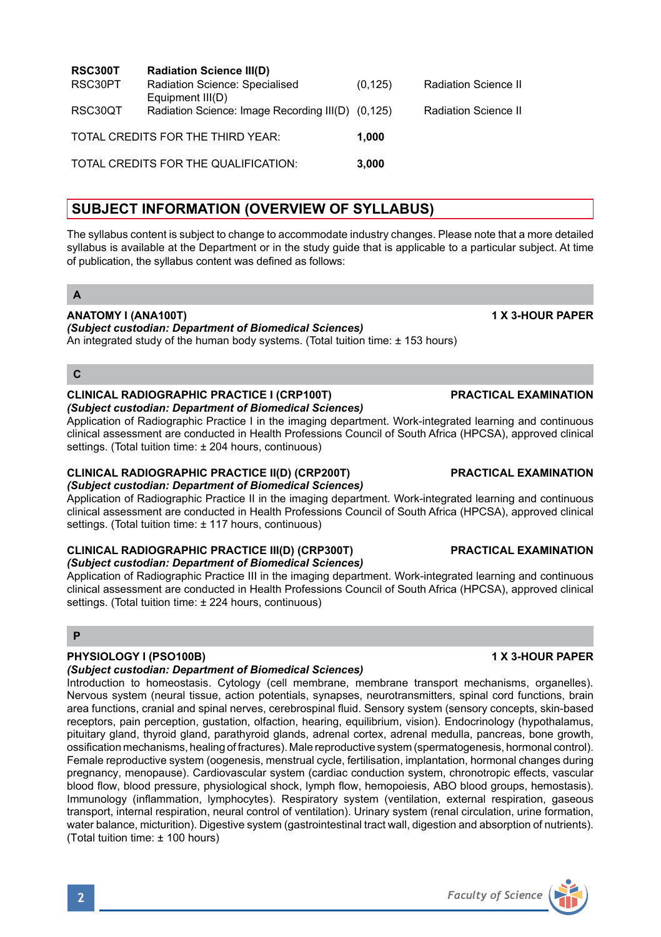| <b>RSC300T</b> | <b>Radiation Science III(D)</b>                                       |          |                             |
|----------------|-----------------------------------------------------------------------|----------|-----------------------------|
| RSC30PT        | Radiation Science: Specialised                                        | (0, 125) | <b>Radiation Science II</b> |
| RSC30QT        | Equipment III(D)<br>Radiation Science: Image Recording III(D) (0,125) |          | <b>Radiation Science II</b> |
|                | TOTAL CREDITS FOR THE THIRD YEAR:                                     | 1.000    |                             |
|                | TOTAL CREDITS FOR THE QUALIFICATION:                                  | 3.000    |                             |

# **SUBJECT INFORMATION (OVERVIEW OF SYLLABUS)**

The syllabus content is subject to change to accommodate industry changes. Please note that a more detailed syllabus is available at the Department or in the study guide that is applicable to a particular subject. At time of publication, the syllabus content was defined as follows:

# **A**

## **ANATOMY I (ANA100T) 1 X 3-HOUR PAPER**

# *(Subject custodian: Department of Biomedical Sciences)*

An integrated study of the human body systems. (Total tuition time:  $\pm$  153 hours)

## **C**

# **CLINICAL RADIOGRAPHIC PRACTICE I (CRP100T) PRACTICAL EXAMINATION**

*(Subject custodian: Department of Biomedical Sciences)*

Application of Radiographic Practice I in the imaging department. Work-integrated learning and continuous clinical assessment are conducted in Health Professions Council of South Africa (HPCSA), approved clinical settings. (Total tuition time: ± 204 hours, continuous)

# **CLINICAL RADIOGRAPHIC PRACTICE II(D) (CRP200T) PRACTICAL EXAMINATION**

# *(Subject custodian: Department of Biomedical Sciences)*

Application of Radiographic Practice II in the imaging department. Work-integrated learning and continuous clinical assessment are conducted in Health Professions Council of South Africa (HPCSA), approved clinical settings. (Total tuition time: ± 117 hours, continuous)

### **CLINICAL RADIOGRAPHIC PRACTICE III(D) (CRP300T) PRACTICAL EXAMINATION** *(Subject custodian: Department of Biomedical Sciences)*

Application of Radiographic Practice III in the imaging department. Work-integrated learning and continuous clinical assessment are conducted in Health Professions Council of South Africa (HPCSA), approved clinical settings. (Total tuition time: ± 224 hours, continuous)

## **P**

## **PHYSIOLOGY I (PSO100B) 1 X 3-HOUR PAPER**

## *(Subject custodian: Department of Biomedical Sciences)*

Introduction to homeostasis. Cytology (cell membrane, membrane transport mechanisms, organelles). Nervous system (neural tissue, action potentials, synapses, neurotransmitters, spinal cord functions, brain area functions, cranial and spinal nerves, cerebrospinal fluid. Sensory system (sensory concepts, skin-based receptors, pain perception, gustation, olfaction, hearing, equilibrium, vision). Endocrinology (hypothalamus, pituitary gland, thyroid gland, parathyroid glands, adrenal cortex, adrenal medulla, pancreas, bone growth, ossification mechanisms, healing of fractures). Male reproductive system (spermatogenesis, hormonal control). Female reproductive system (oogenesis, menstrual cycle, fertilisation, implantation, hormonal changes during pregnancy, menopause). Cardiovascular system (cardiac conduction system, chronotropic effects, vascular blood flow, blood pressure, physiological shock, lymph flow, hemopoiesis, ABO blood groups, hemostasis). Immunology (inflammation, lymphocytes). Respiratory system (ventilation, external respiration, gaseous transport, internal respiration, neural control of ventilation). Urinary system (renal circulation, urine formation, water balance, micturition). Digestive system (gastrointestinal tract wall, digestion and absorption of nutrients). (Total tuition time: ± 100 hours)

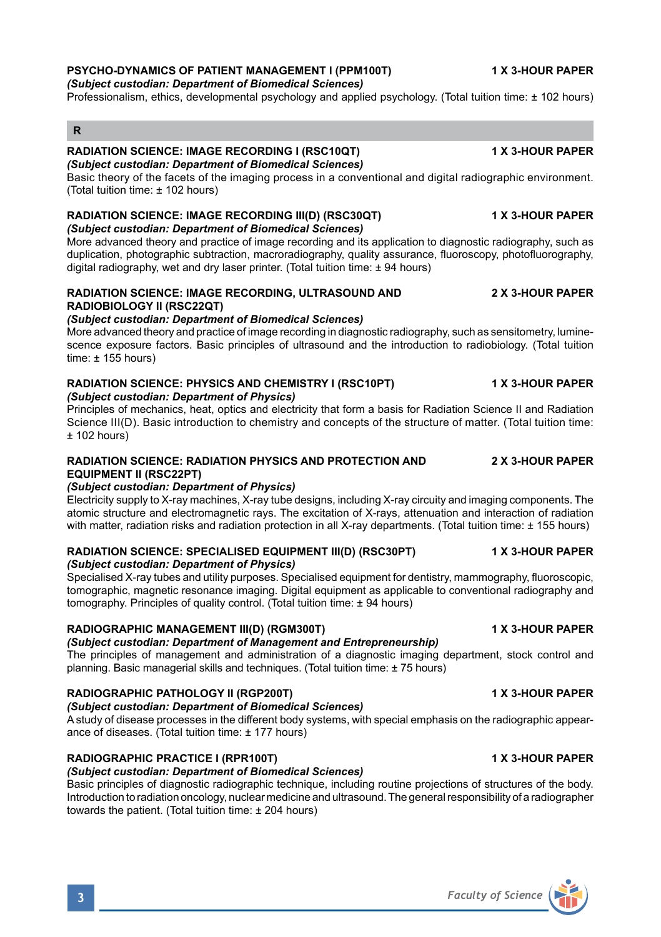## **PSYCHO-DYNAMICS OF PATIENT MANAGEMENT I (PPM100T) 1 X 3-HOUR PAPER**

*(Subject custodian: Department of Biomedical Sciences)*

Professionalism, ethics, developmental psychology and applied psychology. (Total tuition time: ± 102 hours)

# **R**

### **RADIATION SCIENCE: IMAGE RECORDING I (RSC10QT) 1 X 3-HOUR PAPER** *(Subject custodian: Department of Biomedical Sciences)*

Basic theory of the facets of the imaging process in a conventional and digital radiographic environment. (Total tuition time: ± 102 hours)

### **RADIATION SCIENCE: IMAGE RECORDING III(D) (RSC30QT) 1 X 3-HOUR PAPER** *(Subject custodian: Department of Biomedical Sciences)*

More advanced theory and practice of image recording and its application to diagnostic radiography, such as duplication, photographic subtraction, macroradiography, quality assurance, fluoroscopy, photofluorography, digital radiography, wet and dry laser printer. (Total tuition time: ± 94 hours)

## **RADIATION SCIENCE: IMAGE RECORDING, ULTRASOUND AND 2 X 3-HOUR PAPER RADIOBIOLOGY II (RSC22QT)**

## *(Subject custodian: Department of Biomedical Sciences)*

More advanced theory and practice of image recording in diagnostic radiography, such as sensitometry, luminescence exposure factors. Basic principles of ultrasound and the introduction to radiobiology. (Total tuition time: ± 155 hours)

### **RADIATION SCIENCE: PHYSICS AND CHEMISTRY I (RSC10PT) 1 X 3-HOUR PAPER** *(Subject custodian: Department of Physics)*

Principles of mechanics, heat, optics and electricity that form a basis for Radiation Science II and Radiation Science III(D). Basic introduction to chemistry and concepts of the structure of matter. (Total tuition time:  $± 102$  hours)

# **RADIATION SCIENCE: RADIATION PHYSICS AND PROTECTION AND 2 X 3-HOUR PAPER EQUIPMENT II (RSC22PT)**

## *(Subject custodian: Department of Physics)*

Electricity supply to X-ray machines, X-ray tube designs, including X-ray circuity and imaging components. The atomic structure and electromagnetic rays. The excitation of X-rays, attenuation and interaction of radiation with matter, radiation risks and radiation protection in all X-ray departments. (Total tuition time: ± 155 hours)

### **RADIATION SCIENCE: SPECIALISED EQUIPMENT III(D) (RSC30PT) 1 X 3-HOUR PAPER** *(Subject custodian: Department of Physics)*

Specialised X-ray tubes and utility purposes. Specialised equipment for dentistry, mammography, fluoroscopic, tomographic, magnetic resonance imaging. Digital equipment as applicable to conventional radiography and tomography. Principles of quality control. (Total tuition time: ± 94 hours)

## **RADIOGRAPHIC MANAGEMENT III(D) (RGM300T) 1 X 3-HOUR PAPER**

# *(Subject custodian: Department of Management and Entrepreneurship)*

The principles of management and administration of a diagnostic imaging department, stock control and planning. Basic managerial skills and techniques. (Total tuition time: ± 75 hours)

# **RADIOGRAPHIC PATHOLOGY II (RGP200T) 1 X 3-HOUR PAPER**

# *(Subject custodian: Department of Biomedical Sciences)*

A study of disease processes in the different body systems, with special emphasis on the radiographic appearance of diseases. (Total tuition time: ± 177 hours)

# **RADIOGRAPHIC PRACTICE I (RPR100T) 1 X 3-HOUR PAPER**

# *(Subject custodian: Department of Biomedical Sciences)*

Basic principles of diagnostic radiographic technique, including routine projections of structures of the body. Introduction to radiation oncology, nuclear medicine and ultrasound. The general responsibility of a radiographer towards the patient. (Total tuition time: ± 204 hours)